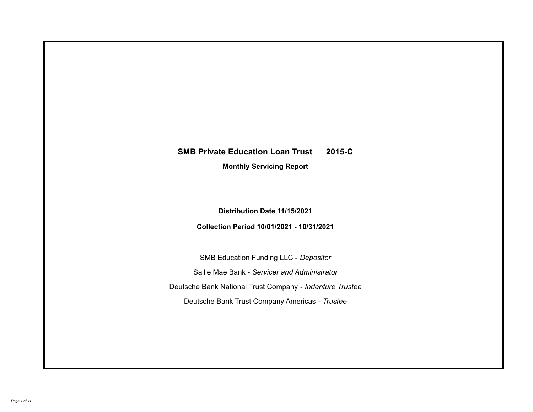# **SMB Private Education Loan Trust 2015-C**

**Monthly Servicing Report**

**Distribution Date 11/15/2021**

**Collection Period 10/01/2021 - 10/31/2021**

SMB Education Funding LLC - *Depositor* Sallie Mae Bank - *Servicer and Administrator* Deutsche Bank National Trust Company - *Indenture Trustee* Deutsche Bank Trust Company Americas - *Trustee*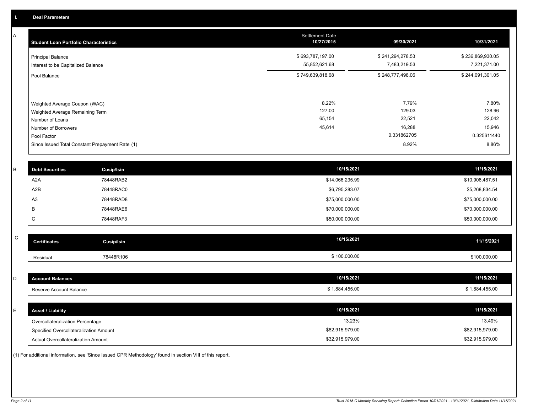A

| <b>Student Loan Portfolio Characteristics</b>                                                              | <b>Settlement Date</b><br>10/27/2015 | 09/30/2021                          | 10/31/2021                          |
|------------------------------------------------------------------------------------------------------------|--------------------------------------|-------------------------------------|-------------------------------------|
| <b>Principal Balance</b><br>Interest to be Capitalized Balance                                             | \$693,787,197.00<br>55,852,621.68    | \$241,294,278.53<br>7,483,219.53    | \$236,869,930.05<br>7,221,371.00    |
| Pool Balance                                                                                               | \$749,639,818.68                     | \$248,777,498.06                    | \$244,091,301.05                    |
| Weighted Average Coupon (WAC)<br>Weighted Average Remaining Term<br>Number of Loans<br>Number of Borrowers | 8.22%<br>127.00<br>65,154<br>45,614  | 7.79%<br>129.03<br>22,521<br>16,288 | 7.80%<br>128.96<br>22,042<br>15,946 |
| Pool Factor                                                                                                |                                      | 0.331862705                         | 0.325611440                         |
| Since Issued Total Constant Prepayment Rate (1)                                                            |                                      | 8.92%                               | 8.86%                               |

| <b>Debt Securities</b> | <b>Cusip/Isin</b> | 10/15/2021      | 11/15/2021      |
|------------------------|-------------------|-----------------|-----------------|
|                        |                   |                 |                 |
| A2A                    | 78448RAB2         | \$14,066,235.99 | \$10,906,487.51 |
| A2B                    | 78448RAC0         | \$6,795,283.07  | \$5,268,834.54  |
| A <sub>3</sub>         | 78448RAD8         | \$75,000,000.00 | \$75,000,000.00 |
|                        | 78448RAE6         | \$70,000,000.00 | \$70,000,000.00 |
| ◡                      | 78448RAF3         | \$50,000,000.00 | \$50,000,000.00 |

| $\sim$<br>◡ | <b>Certificates</b> | Cusip/Isin | 10/15/2021   | 11/15/2021   |
|-------------|---------------------|------------|--------------|--------------|
|             | Residual            | 78448R106  | \$100,000.00 | \$100,000.00 |

| D  | <b>Account Balances</b>                | 10/15/2021      | 11/15/2021      |
|----|----------------------------------------|-----------------|-----------------|
|    | Reserve Account Balance                | \$1,884,455.00  | \$1,884,455.00  |
|    |                                        |                 |                 |
| E. | <b>Asset / Liability</b>               | 10/15/2021      | 11/15/2021      |
|    | Overcollateralization Percentage       | 13.23%          | 13.49%          |
|    | Specified Overcollateralization Amount | \$82,915,979.00 | \$82,915,979.00 |
|    | Actual Overcollateralization Amount    | \$32,915,979.00 | \$32,915,979.00 |

(1) For additional information, see 'Since Issued CPR Methodology' found in section VIII of this report .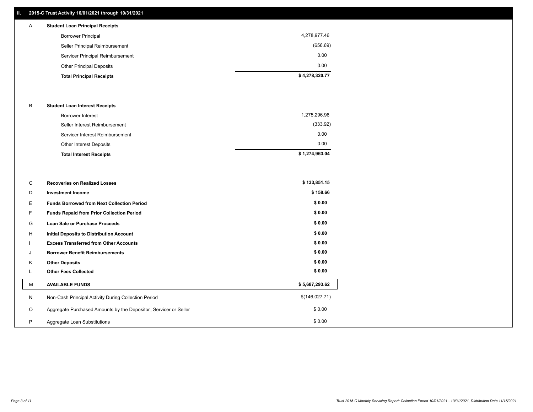## **II. 2015-C Trust Activity 10/01/2021 through 10/31/2021**

# A **Student Loan Principal Receipts**

| <b>Total Principal Receipts</b>  | \$4,278,320.77 |
|----------------------------------|----------------|
| <b>Other Principal Deposits</b>  | 0.00           |
| Servicer Principal Reimbursement | 0.00           |
| Seller Principal Reimbursement   | (656.69)       |
| <b>Borrower Principal</b>        | 4,278,977.46   |
|                                  |                |

#### B **Student Loan Interest Receipts**

| <b>Other Interest Deposits</b><br><b>Total Interest Receipts</b> | \$1,274,963.04 |
|------------------------------------------------------------------|----------------|
|                                                                  | 0.00           |
| Servicer Interest Reimbursement                                  | 0.00           |
| Seller Interest Reimbursement                                    | (333.92)       |
| <b>Borrower Interest</b>                                         | 1,275,296.96   |

| C       | <b>Recoveries on Realized Losses</b>                             | \$133,851.15   |
|---------|------------------------------------------------------------------|----------------|
| D       | <b>Investment Income</b>                                         | \$158.66       |
| Е.      | <b>Funds Borrowed from Next Collection Period</b>                | \$0.00         |
| F       | Funds Repaid from Prior Collection Period                        | \$0.00         |
| G       | Loan Sale or Purchase Proceeds                                   | \$0.00         |
| H       | <b>Initial Deposits to Distribution Account</b>                  | \$0.00         |
|         | <b>Excess Transferred from Other Accounts</b>                    | \$0.00         |
| J       | <b>Borrower Benefit Reimbursements</b>                           | \$0.00         |
| K       | <b>Other Deposits</b>                                            | \$0.00         |
|         | <b>Other Fees Collected</b>                                      | \$0.00         |
| М       | <b>AVAILABLE FUNDS</b>                                           | \$5,687,293.62 |
| N       | Non-Cash Principal Activity During Collection Period             | \$(146,027.71) |
| $\circ$ | Aggregate Purchased Amounts by the Depositor, Servicer or Seller | \$0.00         |
| P       | Aggregate Loan Substitutions                                     | \$0.00         |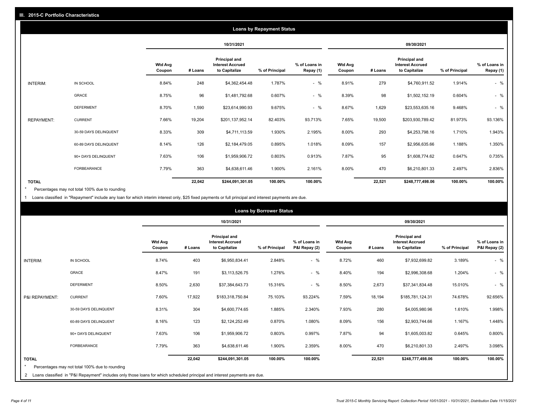|                   | <b>Loans by Repayment Status</b> |                          |            |                                                                  |                |                            |                          |         |                                                           |                |                            |
|-------------------|----------------------------------|--------------------------|------------|------------------------------------------------------------------|----------------|----------------------------|--------------------------|---------|-----------------------------------------------------------|----------------|----------------------------|
|                   |                                  |                          | 10/31/2021 |                                                                  |                |                            | 09/30/2021               |         |                                                           |                |                            |
|                   |                                  | <b>Wtd Avg</b><br>Coupon | # Loans    | <b>Principal and</b><br><b>Interest Accrued</b><br>to Capitalize | % of Principal | % of Loans in<br>Repay (1) | <b>Wtd Avg</b><br>Coupon | # Loans | Principal and<br><b>Interest Accrued</b><br>to Capitalize | % of Principal | % of Loans in<br>Repay (1) |
| INTERIM:          | IN SCHOOL                        | 8.84%                    | 248        | \$4,362,454.48                                                   | 1.787%         | $-$ %                      | 8.91%                    | 279     | \$4,760,911.52                                            | 1.914%         | $-$ %                      |
|                   | GRACE                            | 8.75%                    | 96         | \$1,481,792.68                                                   | 0.607%         | $-$ %                      | 8.39%                    | 98      | \$1,502,152.19                                            | 0.604%         | $-$ %                      |
|                   | <b>DEFERMENT</b>                 | 8.70%                    | 1,590      | \$23,614,990.93                                                  | 9.675%         | $-$ %                      | 8.67%                    | 1,629   | \$23,553,635.16                                           | 9.468%         | $-$ %                      |
| <b>REPAYMENT:</b> | <b>CURRENT</b>                   | 7.66%                    | 19,204     | \$201,137,952.14                                                 | 82.403%        | 93.713%                    | 7.65%                    | 19,500  | \$203,930,789.42                                          | 81.973%        | 93.136%                    |
|                   | 30-59 DAYS DELINQUENT            | 8.33%                    | 309        | \$4,711,113.59                                                   | 1.930%         | 2.195%                     | 8.00%                    | 293     | \$4,253,798.16                                            | 1.710%         | 1.943%                     |
|                   | 60-89 DAYS DELINQUENT            | 8.14%                    | 126        | \$2,184,479.05                                                   | 0.895%         | 1.018%                     | 8.09%                    | 157     | \$2,956,635.66                                            | 1.188%         | 1.350%                     |
|                   | 90+ DAYS DELINQUENT              | 7.63%                    | 106        | \$1,959,906.72                                                   | 0.803%         | 0.913%                     | 7.87%                    | 95      | \$1,608,774.62                                            | 0.647%         | 0.735%                     |
|                   | <b>FORBEARANCE</b>               | 7.79%                    | 363        | \$4,638,611.46                                                   | 1.900%         | 2.161%                     | 8.00%                    | 470     | \$6,210,801.33                                            | 2.497%         | 2.836%                     |
| <b>TOTAL</b>      |                                  |                          | 22,042     | \$244,091,301.05                                                 | 100.00%        | 100.00%                    |                          | 22,521  | \$248,777,498.06                                          | 100.00%        | 100.00%                    |

Percentages may not total 100% due to rounding \*

1 Loans classified in "Repayment" include any loan for which interim interest only, \$25 fixed payments or full principal and interest payments are due.

|                 | <b>Loans by Borrower Status</b>                                                                                              |                          |            |                                                                  |                |                                |                          |            |                                                                  |                |                                |  |
|-----------------|------------------------------------------------------------------------------------------------------------------------------|--------------------------|------------|------------------------------------------------------------------|----------------|--------------------------------|--------------------------|------------|------------------------------------------------------------------|----------------|--------------------------------|--|
|                 |                                                                                                                              |                          | 10/31/2021 |                                                                  |                |                                |                          | 09/30/2021 |                                                                  |                |                                |  |
|                 |                                                                                                                              | <b>Wtd Avg</b><br>Coupon | # Loans    | <b>Principal and</b><br><b>Interest Accrued</b><br>to Capitalize | % of Principal | % of Loans in<br>P&I Repay (2) | <b>Wtd Avg</b><br>Coupon | # Loans    | <b>Principal and</b><br><b>Interest Accrued</b><br>to Capitalize | % of Principal | % of Loans in<br>P&I Repay (2) |  |
| <b>INTERIM:</b> | IN SCHOOL                                                                                                                    | 8.74%                    | 403        | \$6,950,834.41                                                   | 2.848%         | $-$ %                          | 8.72%                    | 460        | \$7,932,699.82                                                   | 3.189%         | $-$ %                          |  |
|                 | <b>GRACE</b>                                                                                                                 | 8.47%                    | 191        | \$3,113,526.75                                                   | 1.276%         | $-$ %                          | 8.40%                    | 194        | \$2,996,308.68                                                   | 1.204%         | $-$ %                          |  |
|                 | <b>DEFERMENT</b>                                                                                                             | 8.50%                    | 2,630      | \$37,384,643.73                                                  | 15.316%        | $-$ %                          | 8.50%                    | 2,673      | \$37,341,834.48                                                  | 15.010%        | $-$ %                          |  |
| P&I REPAYMENT:  | <b>CURRENT</b>                                                                                                               | 7.60%                    | 17,922     | \$183,318,750.84                                                 | 75.103%        | 93.224%                        | 7.59%                    | 18,194     | \$185,781,124.31                                                 | 74.678%        | 92.656%                        |  |
|                 | 30-59 DAYS DELINQUENT                                                                                                        | 8.31%                    | 304        | \$4,600,774.65                                                   | 1.885%         | 2.340%                         | 7.93%                    | 280        | \$4,005,980.96                                                   | 1.610%         | 1.998%                         |  |
|                 | 60-89 DAYS DELINQUENT                                                                                                        | 8.16%                    | 123        | \$2,124,252.49                                                   | 0.870%         | 1.080%                         | 8.09%                    | 156        | \$2,903,744.66                                                   | 1.167%         | 1.448%                         |  |
|                 | 90+ DAYS DELINQUENT                                                                                                          | 7.63%                    | 106        | \$1,959,906.72                                                   | 0.803%         | 0.997%                         | 7.87%                    | 94         | \$1,605,003.82                                                   | 0.645%         | 0.800%                         |  |
|                 | <b>FORBEARANCE</b>                                                                                                           | 7.79%                    | 363        | \$4,638,611.46                                                   | 1.900%         | 2.359%                         | 8.00%                    | 470        | \$6,210,801.33                                                   | 2.497%         | 3.098%                         |  |
| <b>TOTAL</b>    | Percentages may not total 100% due to rounding                                                                               |                          | 22,042     | \$244,091,301.05                                                 | 100.00%        | 100.00%                        |                          | 22,521     | \$248,777,498.06                                                 | 100.00%        | 100.00%                        |  |
|                 | 2 Loans classified in "P&I Repayment" includes only those loans for which scheduled principal and interest payments are due. |                          |            |                                                                  |                |                                |                          |            |                                                                  |                |                                |  |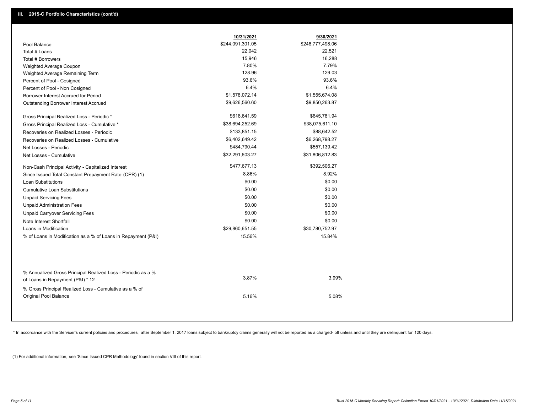|                                                                                        | 10/31/2021       | 9/30/2021        |
|----------------------------------------------------------------------------------------|------------------|------------------|
| Pool Balance                                                                           | \$244,091,301.05 | \$248,777,498.06 |
| Total # Loans                                                                          | 22,042           | 22,521           |
| Total # Borrowers                                                                      | 15,946           | 16,288           |
| Weighted Average Coupon                                                                | 7.80%            | 7.79%            |
| Weighted Average Remaining Term                                                        | 128.96           | 129.03           |
| Percent of Pool - Cosigned                                                             | 93.6%            | 93.6%            |
| Percent of Pool - Non Cosigned                                                         | 6.4%             | 6.4%             |
| Borrower Interest Accrued for Period                                                   | \$1,578,072.14   | \$1,555,674.08   |
| Outstanding Borrower Interest Accrued                                                  | \$9,626,560.60   | \$9,850,263.87   |
| Gross Principal Realized Loss - Periodic *                                             | \$618,641.59     | \$645,781.94     |
| Gross Principal Realized Loss - Cumulative *                                           | \$38,694,252.69  | \$38,075,611.10  |
| Recoveries on Realized Losses - Periodic                                               | \$133,851.15     | \$88,642.52      |
| Recoveries on Realized Losses - Cumulative                                             | \$6,402,649.42   | \$6,268,798.27   |
| Net Losses - Periodic                                                                  | \$484,790.44     | \$557,139.42     |
| Net Losses - Cumulative                                                                | \$32,291,603.27  | \$31,806,812.83  |
| Non-Cash Principal Activity - Capitalized Interest                                     | \$477,677.13     | \$392,506.27     |
| Since Issued Total Constant Prepayment Rate (CPR) (1)                                  | 8.86%            | 8.92%            |
| <b>Loan Substitutions</b>                                                              | \$0.00           | \$0.00           |
| <b>Cumulative Loan Substitutions</b>                                                   | \$0.00           | \$0.00           |
| <b>Unpaid Servicing Fees</b>                                                           | \$0.00           | \$0.00           |
| <b>Unpaid Administration Fees</b>                                                      | \$0.00           | \$0.00           |
| <b>Unpaid Carryover Servicing Fees</b>                                                 | \$0.00           | \$0.00           |
| Note Interest Shortfall                                                                | \$0.00           | \$0.00           |
| Loans in Modification                                                                  | \$29,860,651.55  | \$30,780,752.97  |
| % of Loans in Modification as a % of Loans in Repayment (P&I)                          | 15.56%           | 15.84%           |
| % Annualized Gross Principal Realized Loss - Periodic as a %                           |                  |                  |
| of Loans in Repayment (P&I) * 12                                                       | 3.87%            | 3.99%            |
| % Gross Principal Realized Loss - Cumulative as a % of<br><b>Original Pool Balance</b> | 5.16%            | 5.08%            |

\* In accordance with the Servicer's current policies and procedures, after September 1, 2017 loans subject to bankruptcy claims generally will not be reported as a charged- off unless and until they are delinquent for 120

(1) For additional information, see 'Since Issued CPR Methodology' found in section VIII of this report .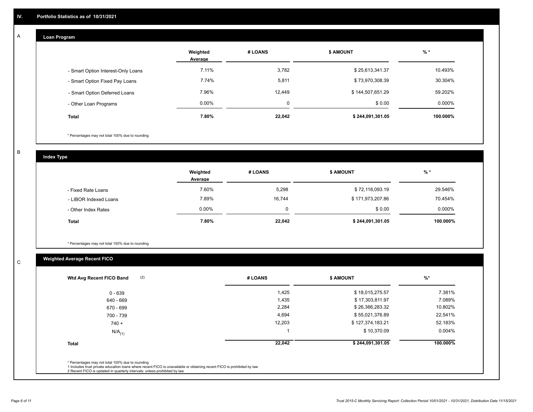## **Loan Program**

A

|                                    | Weighted<br>Average | # LOANS  | <b>\$ AMOUNT</b> | $%$ *     |
|------------------------------------|---------------------|----------|------------------|-----------|
| - Smart Option Interest-Only Loans | 7.11%               | 3,782    | \$25,613,341.37  | 10.493%   |
| - Smart Option Fixed Pay Loans     | 7.74%               | 5,811    | \$73,970,308.39  | 30.304%   |
| - Smart Option Deferred Loans      | 7.96%               | 12,449   | \$144,507,651.29 | 59.202%   |
| - Other Loan Programs              | $0.00\%$            | $\Omega$ | \$0.00           | $0.000\%$ |
| <b>Total</b>                       | 7.80%               | 22,042   | \$244,091,301.05 | 100.000%  |

\* Percentages may not total 100% due to rounding

B

C

**Index Type**

|                       | Weighted<br>Average | # LOANS | \$ AMOUNT        | $%$ *     |
|-----------------------|---------------------|---------|------------------|-----------|
| - Fixed Rate Loans    | 7.60%               | 5,298   | \$72,118,093.19  | 29.546%   |
| - LIBOR Indexed Loans | 7.89%               | 16,744  | \$171,973,207.86 | 70.454%   |
| - Other Index Rates   | $0.00\%$            |         | \$0.00           | $0.000\%$ |
| <b>Total</b>          | 7.80%               | 22,042  | \$244,091,301.05 | 100.000%  |

\* Percentages may not total 100% due to rounding

# **Weighted Average Recent FICO**

| (2)<br>Wtd Avg Recent FICO Band | # LOANS | <b>\$ AMOUNT</b> | $\frac{9}{6}$ * |
|---------------------------------|---------|------------------|-----------------|
| $0 - 639$                       | 1,425   | \$18,015,275.57  | 7.381%          |
| 640 - 669                       | 1,435   | \$17,303,811.97  | 7.089%          |
| 670 - 699                       | 2,284   | \$26,366,283.32  | 10.802%         |
| 700 - 739                       | 4,694   | \$55,021,376.89  | 22.541%         |
| $740 +$                         | 12,203  | \$127,374,183.21 | 52.183%         |
| $N/A$ <sub>(1)</sub>            |         | \$10,370.09      | $0.004\%$       |
| <b>Total</b>                    | 22,042  | \$244,091,301.05 | 100.000%        |
|                                 |         |                  |                 |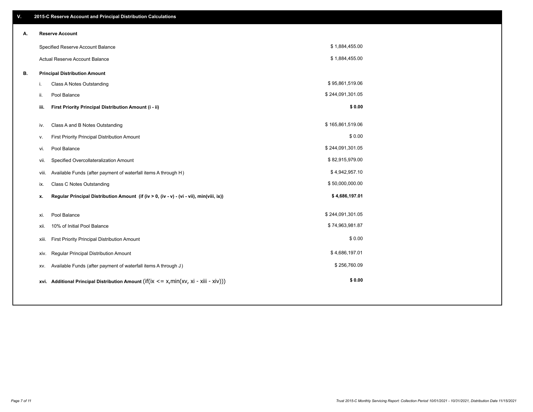| V. |       | 2015-C Reserve Account and Principal Distribution Calculations                                           |                  |  |
|----|-------|----------------------------------------------------------------------------------------------------------|------------------|--|
| А. |       | <b>Reserve Account</b>                                                                                   |                  |  |
|    |       | Specified Reserve Account Balance                                                                        | \$1,884,455.00   |  |
|    |       | Actual Reserve Account Balance                                                                           | \$1,884,455.00   |  |
| В. |       | <b>Principal Distribution Amount</b>                                                                     |                  |  |
|    | i.    | Class A Notes Outstanding                                                                                | \$95,861,519.06  |  |
|    | ii.   | Pool Balance                                                                                             | \$244,091,301.05 |  |
|    | iii.  | First Priority Principal Distribution Amount (i - ii)                                                    | \$0.00           |  |
|    |       |                                                                                                          |                  |  |
|    | iv.   | Class A and B Notes Outstanding                                                                          | \$165,861,519.06 |  |
|    | v.    | First Priority Principal Distribution Amount                                                             | \$0.00           |  |
|    | vi.   | Pool Balance                                                                                             | \$244,091,301.05 |  |
|    | vii.  | Specified Overcollateralization Amount                                                                   | \$82,915,979.00  |  |
|    | viii. | Available Funds (after payment of waterfall items A through H)                                           | \$4,942,957.10   |  |
|    | ix.   | <b>Class C Notes Outstanding</b>                                                                         | \$50,000,000.00  |  |
|    | х.    | Regular Principal Distribution Amount (if (iv > 0, (iv - v) - (vi - vii), min(viii, ix))                 | \$4,686,197.01   |  |
|    |       |                                                                                                          |                  |  |
|    | xi.   | Pool Balance                                                                                             | \$244,091,301.05 |  |
|    | XII.  | 10% of Initial Pool Balance                                                                              | \$74,963,981.87  |  |
|    | xiii. | First Priority Principal Distribution Amount                                                             | \$0.00           |  |
|    | xiv.  | Regular Principal Distribution Amount                                                                    | \$4,686,197.01   |  |
|    | XV.   | Available Funds (after payment of waterfall items A through J)                                           | \$256,760.09     |  |
|    |       | xvi. Additional Principal Distribution Amount (if( $ix \le x$ , min( $xv$ , $xi \cdot x$ iii - $xiv$ ))) | \$0.00           |  |
|    |       |                                                                                                          |                  |  |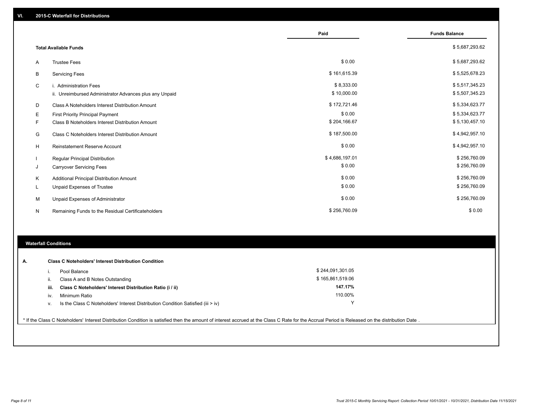|   |                                                         | Paid           | <b>Funds Balance</b> |
|---|---------------------------------------------------------|----------------|----------------------|
|   | <b>Total Available Funds</b>                            |                | \$5,687,293.62       |
| A | <b>Trustee Fees</b>                                     | \$0.00         | \$5,687,293.62       |
| В | <b>Servicing Fees</b>                                   | \$161,615.39   | \$5,525,678.23       |
| C | i. Administration Fees                                  | \$8,333.00     | \$5,517,345.23       |
|   | ii. Unreimbursed Administrator Advances plus any Unpaid | \$10,000.00    | \$5,507,345.23       |
| D | Class A Noteholders Interest Distribution Amount        | \$172,721.46   | \$5,334,623.77       |
| Е | <b>First Priority Principal Payment</b>                 | \$0.00         | \$5,334,623.77       |
| F | Class B Noteholders Interest Distribution Amount        | \$204,166.67   | \$5,130,457.10       |
| G | <b>Class C Noteholders Interest Distribution Amount</b> | \$187,500.00   | \$4,942,957.10       |
| н | <b>Reinstatement Reserve Account</b>                    | \$0.00         | \$4,942,957.10       |
|   | Regular Principal Distribution                          | \$4,686,197.01 | \$256,760.09         |
| J | <b>Carryover Servicing Fees</b>                         | \$0.00         | \$256,760.09         |
| Κ | Additional Principal Distribution Amount                | \$0.00         | \$256,760.09         |
|   | Unpaid Expenses of Trustee                              | \$0.00         | \$256,760.09         |
| M | Unpaid Expenses of Administrator                        | \$0.00         | \$256,760.09         |
| N | Remaining Funds to the Residual Certificateholders      | \$256,760.09   | \$0.00               |

## **Waterfall Conditions**

| А. |      | <b>Class C Noteholders' Interest Distribution Condition</b>                        |                  |  |
|----|------|------------------------------------------------------------------------------------|------------------|--|
|    |      | Pool Balance                                                                       | \$244,091,301.05 |  |
|    | ш.   | Class A and B Notes Outstanding                                                    | \$165,861,519.06 |  |
|    | iii. | Class C Noteholders' Interest Distribution Ratio (i / ii)                          | 147.17%          |  |
|    | IV.  | Minimum Ratio                                                                      | 110.00%          |  |
|    | v.   | Is the Class C Noteholders' Interest Distribution Condition Satisfied (iii $>$ iv) | v                |  |
|    |      |                                                                                    |                  |  |

\* If the Class C Noteholders' Interest Distribution Condition is satisfied then the amount of interest accrued at the Class C Rate for the Accrual Period is Released on the distribution Date .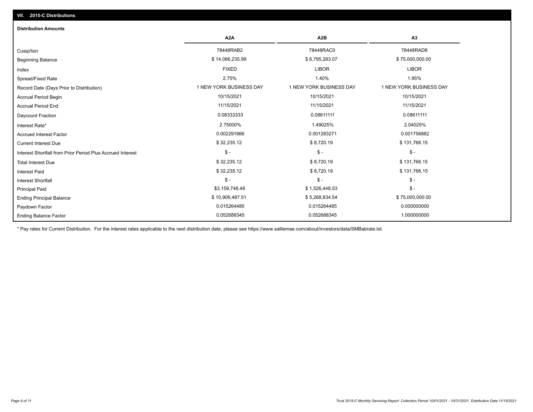| <b>Distribution Amounts</b>                                |                         |                         |                         |
|------------------------------------------------------------|-------------------------|-------------------------|-------------------------|
|                                                            | A <sub>2</sub> A        | A <sub>2</sub> B        | A <sub>3</sub>          |
| Cusip/Isin                                                 | 78448RAB2               | 78448RAC0               | 78448RAD8               |
| <b>Beginning Balance</b>                                   | \$14,066,235.99         | \$6,795,283.07          | \$75,000,000.00         |
| Index                                                      | <b>FIXED</b>            | <b>LIBOR</b>            | <b>LIBOR</b>            |
| Spread/Fixed Rate                                          | 2.75%                   | 1.40%                   | 1.95%                   |
| Record Date (Days Prior to Distribution)                   | 1 NEW YORK BUSINESS DAY | 1 NEW YORK BUSINESS DAY | 1 NEW YORK BUSINESS DAY |
| <b>Accrual Period Begin</b>                                | 10/15/2021              | 10/15/2021              | 10/15/2021              |
| <b>Accrual Period End</b>                                  | 11/15/2021              | 11/15/2021              | 11/15/2021              |
| <b>Daycount Fraction</b>                                   | 0.08333333              | 0.08611111              | 0.08611111              |
| Interest Rate*                                             | 2.75000%                | 1.49025%                | 2.04025%                |
| <b>Accrued Interest Factor</b>                             | 0.002291666             | 0.001283271             | 0.001756882             |
| <b>Current Interest Due</b>                                | \$32,235.12             | \$8,720.19              | \$131,766.15            |
| Interest Shortfall from Prior Period Plus Accrued Interest | $\mathsf{\$}$ -         | $$ -$                   | $\mathsf{\$}$ -         |
| <b>Total Interest Due</b>                                  | \$32,235.12             | \$8,720.19              | \$131,766.15            |
| <b>Interest Paid</b>                                       | \$32,235.12             | \$8,720.19              | \$131,766.15            |
| <b>Interest Shortfall</b>                                  | $\mathsf{\$}$ -         | $$ -$                   | $\mathsf{\$}$ -         |
| <b>Principal Paid</b>                                      | \$3,159,748.48          | \$1,526,448.53          | $\mathsf{\$}$ -         |
| <b>Ending Principal Balance</b>                            | \$10,906,487.51         | \$5,268,834.54          | \$75,000,000.00         |
| Paydown Factor                                             | 0.015264485             | 0.015264485             | 0.000000000             |
| <b>Ending Balance Factor</b>                               | 0.052688345             | 0.052688345             | 1.000000000             |

\* Pay rates for Current Distribution. For the interest rates applicable to the next distribution date, please see https://www.salliemae.com/about/investors/data/SMBabrate.txt.

**VII. 2015-C Distributions**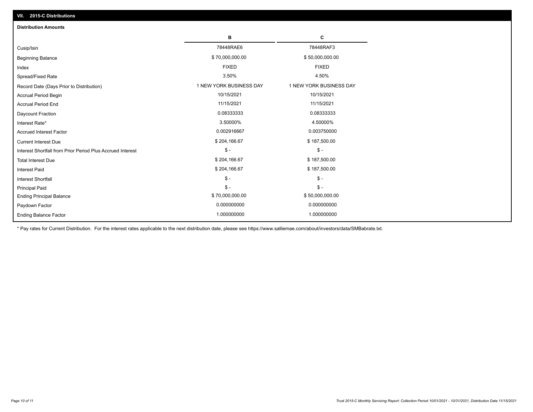| VII. 2015-C Distributions                                  |                         |                         |
|------------------------------------------------------------|-------------------------|-------------------------|
| <b>Distribution Amounts</b>                                |                         |                         |
|                                                            | в                       | С                       |
| Cusip/Isin                                                 | 78448RAE6               | 78448RAF3               |
| <b>Beginning Balance</b>                                   | \$70,000,000.00         | \$50,000,000.00         |
| Index                                                      | <b>FIXED</b>            | <b>FIXED</b>            |
| Spread/Fixed Rate                                          | 3.50%                   | 4.50%                   |
| Record Date (Days Prior to Distribution)                   | 1 NEW YORK BUSINESS DAY | 1 NEW YORK BUSINESS DAY |
| <b>Accrual Period Begin</b>                                | 10/15/2021              | 10/15/2021              |
| <b>Accrual Period End</b>                                  | 11/15/2021              | 11/15/2021              |
| Daycount Fraction                                          | 0.08333333              | 0.08333333              |
| Interest Rate*                                             | 3.50000%                | 4.50000%                |
| <b>Accrued Interest Factor</b>                             | 0.002916667             | 0.003750000             |
| <b>Current Interest Due</b>                                | \$204,166.67            | \$187,500.00            |
| Interest Shortfall from Prior Period Plus Accrued Interest | $\frac{1}{2}$           | $$ -$                   |
| <b>Total Interest Due</b>                                  | \$204,166.67            | \$187,500.00            |
| Interest Paid                                              | \$204,166.67            | \$187,500.00            |
| Interest Shortfall                                         | $\frac{1}{2}$           | $\frac{1}{2}$           |
| <b>Principal Paid</b>                                      | $\mathsf{\$}$ -         | $S -$                   |
| <b>Ending Principal Balance</b>                            | \$70,000,000.00         | \$50,000,000.00         |
| Paydown Factor                                             | 0.000000000             | 0.000000000             |
| <b>Ending Balance Factor</b>                               | 1.000000000             | 1.000000000             |

\* Pay rates for Current Distribution. For the interest rates applicable to the next distribution date, please see https://www.salliemae.com/about/investors/data/SMBabrate.txt.